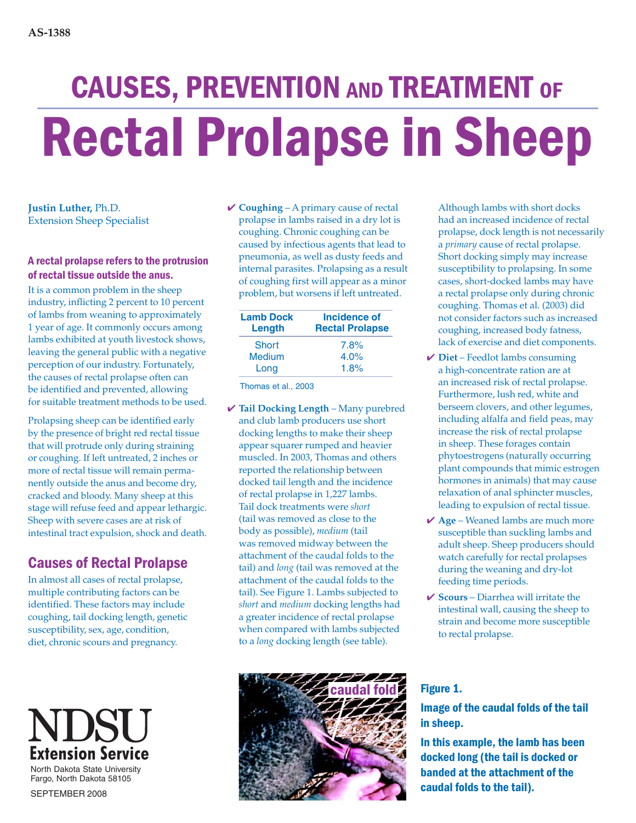# CAUSES, PREVENTION AND TREATMENT OF Rectal Prolapse in Sheep

**Justin Luther,** Ph.D. Extension Sheep Specialist

#### A rectal prolapse refers to the protrusion of rectal tissue outside the anus.

It is a common problem in the sheep industry, inflicting 2 percent to 10 percent of lambs from weaning to approximately 1 year of age. It commonly occurs among lambs exhibited at youth livestock shows, leaving the general public with a negative perception of our industry. Fortunately, the causes of rectal prolapse often can be identified and prevented, allowing for suitable treatment methods to be used.

Prolapsing sheep can be identified early by the presence of bright red rectal tissue that will protrude only during straining or coughing. If left untreated, 2 inches or more of rectal tissue will remain permanently outside the anus and become dry, cracked and bloody. Many sheep at this stage will refuse feed and appear lethargic. Sheep with severe cases are at risk of intestinal tract expulsion, shock and death.

# Causes of Rectal Prolapse

In almost all cases of rectal prolapse, multiple contributing factors can be identified. These factors may include coughing, tail docking length, genetic susceptibility, sex, age, condition, diet, chronic scours and pregnancy.

# NDS **Extension Service**

North Dakota State University Fargo, North Dakota 58105

SEPTEMBER 2008

✔ **Coughing** – A primary cause of rectal prolapse in lambs raised in a dry lot is coughing. Chronic coughing can be caused by infectious agents that lead to pneumonia, as well as dusty feeds and internal parasites. Prolapsing as a result of coughing first will appear as a minor problem, but worsens if left untreated.

| <b>Lamb Dock</b><br>Length | Incidence of<br><b>Rectal Prolapse</b> |
|----------------------------|----------------------------------------|
| <b>Short</b>               | 7.8%                                   |
| <b>Medium</b>              | 4.0%                                   |
| Long                       | 1.8%                                   |

Thomas et al., 2003

✔ **Tail Docking Length** – Many purebred and club lamb producers use short docking lengths to make their sheep appear squarer rumped and heavier muscled. In 2003, Thomas and others reported the relationship between docked tail length and the incidence of rectal prolapse in 1,227 lambs. Tail dock treatments were *short* (tail was removed as close to the body as possible), *medium* (tail was removed midway between the attachment of the caudal folds to the tail) and *long* (tail was removed at the attachment of the caudal folds to the tail). See Figure 1. Lambs subjected to *short* and *medium* docking lengths had a greater incidence of rectal prolapse when compared with lambs subjected to a *long* docking length (see table).



Although lambs with short docks had an increased incidence of rectal prolapse, dock length is not necessarily a *primary* cause of rectal prolapse. Short docking simply may increase susceptibility to prolapsing. In some cases, short-docked lambs may have a rectal prolapse only during chronic coughing. Thomas et al. (2003) did not consider factors such as increased coughing, increased body fatness, lack of exercise and diet components.

- ✔ **Diet** Feedlot lambs consuming a high-concentrate ration are at an increased risk of rectal prolapse. Furthermore, lush red, white and berseem clovers, and other legumes, including alfalfa and field peas, may increase the risk of rectal prolapse in sheep. These forages contain phytoestrogens (naturally occurring plant compounds that mimic estrogen hormones in animals) that may cause relaxation of anal sphincter muscles, leading to expulsion of rectal tissue.
- ✔ **Age** Weaned lambs are much more susceptible than suckling lambs and adult sheep. Sheep producers should watch carefully for rectal prolapses during the weaning and dry-lot feeding time periods.
- ✔ **Scours** Diarrhea will irritate the intestinal wall, causing the sheep to strain and become more susceptible to rectal prolapse.

### Figure 1.

## Image of the caudal folds of the tail in sheep.

In this example, the lamb has been docked long (the tail is docked or banded at the attachment of the caudal folds to the tail).